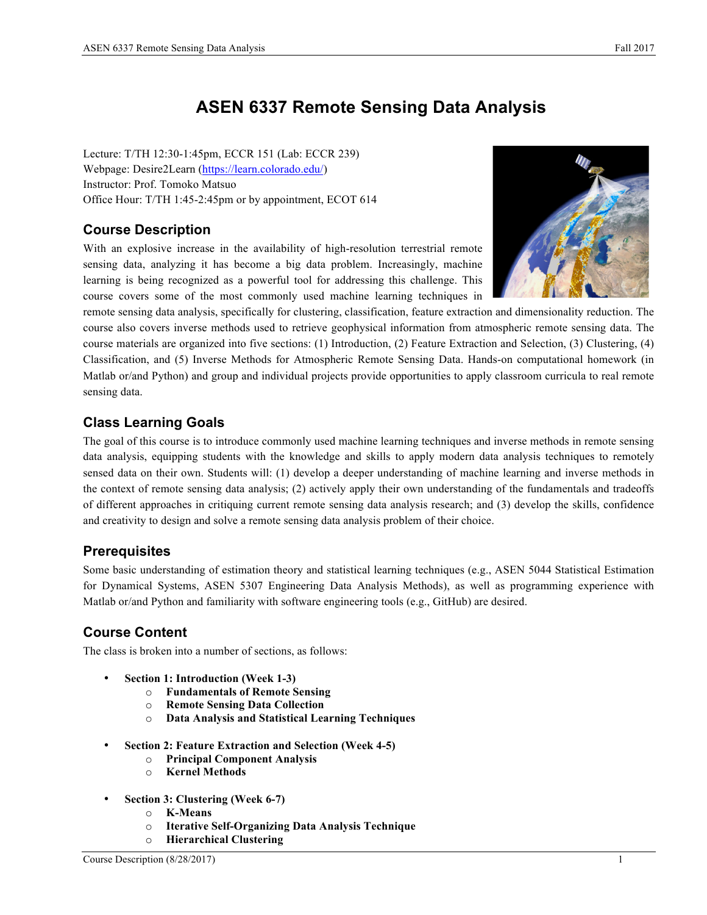# **ASEN 6337 Remote Sensing Data Analysis**

Lecture: T/TH 12:30-1:45pm, ECCR 151 (Lab: ECCR 239) Webpage: Desire2Learn (https://learn.colorado.edu/) Instructor: Prof. Tomoko Matsuo Office Hour: T/TH 1:45-2:45pm or by appointment, ECOT 614

### **Course Description**

With an explosive increase in the availability of high-resolution terrestrial remote sensing data, analyzing it has become a big data problem. Increasingly, machine learning is being recognized as a powerful tool for addressing this challenge. This course covers some of the most commonly used machine learning techniques in



remote sensing data analysis, specifically for clustering, classification, feature extraction and dimensionality reduction. The course also covers inverse methods used to retrieve geophysical information from atmospheric remote sensing data. The course materials are organized into five sections: (1) Introduction, (2) Feature Extraction and Selection, (3) Clustering, (4) Classification, and (5) Inverse Methods for Atmospheric Remote Sensing Data. Hands-on computational homework (in Matlab or/and Python) and group and individual projects provide opportunities to apply classroom curricula to real remote sensing data.

## **Class Learning Goals**

The goal of this course is to introduce commonly used machine learning techniques and inverse methods in remote sensing data analysis, equipping students with the knowledge and skills to apply modern data analysis techniques to remotely sensed data on their own. Students will: (1) develop a deeper understanding of machine learning and inverse methods in the context of remote sensing data analysis; (2) actively apply their own understanding of the fundamentals and tradeoffs of different approaches in critiquing current remote sensing data analysis research; and (3) develop the skills, confidence and creativity to design and solve a remote sensing data analysis problem of their choice.

#### **Prerequisites**

Some basic understanding of estimation theory and statistical learning techniques (e.g., ASEN 5044 Statistical Estimation for Dynamical Systems, ASEN 5307 Engineering Data Analysis Methods), as well as programming experience with Matlab or/and Python and familiarity with software engineering tools (e.g., GitHub) are desired.

## **Course Content**

The class is broken into a number of sections, as follows:

- **Section 1: Introduction (Week 1-3)**
	- o **Fundamentals of Remote Sensing**
	- o **Remote Sensing Data Collection**
	- o **Data Analysis and Statistical Learning Techniques**
- **Section 2: Feature Extraction and Selection (Week 4-5)**
	- o **Principal Component Analysis**
	- o **Kernel Methods**
- **Section 3: Clustering (Week 6-7)**
	- o **K-Means**
	- o **Iterative Self-Organizing Data Analysis Technique**
	- o **Hierarchical Clustering**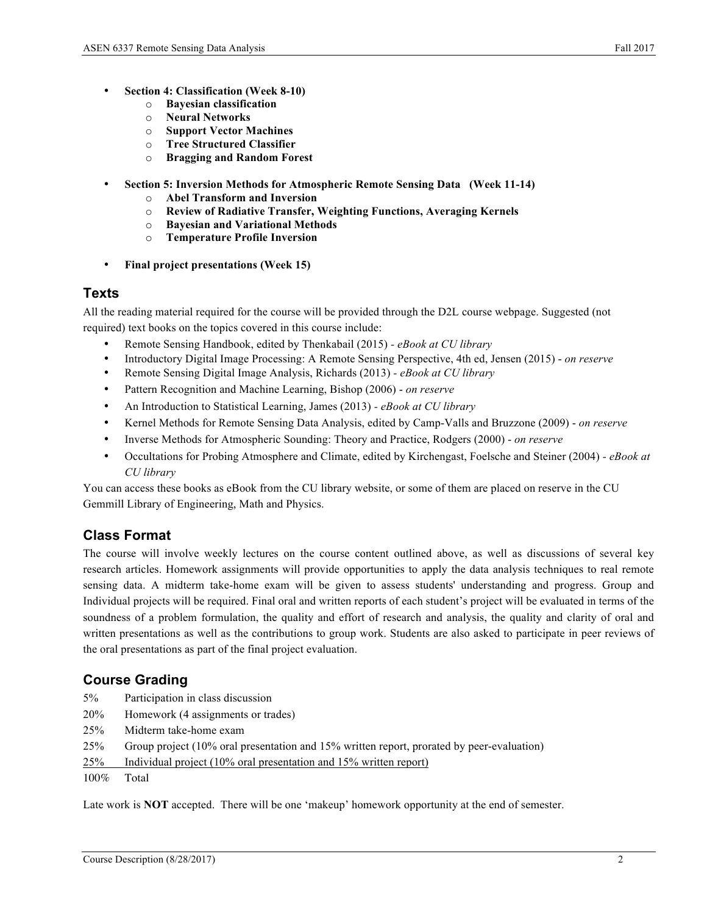- **Section 4: Classification (Week 8-10)**
	- o **Bayesian classification**
	- o **Neural Networks**
	- o **Support Vector Machines**
	- o **Tree Structured Classifier**
	- o **Bragging and Random Forest**
- **Section 5: Inversion Methods for Atmospheric Remote Sensing Data (Week 11-14)**
	- o **Abel Transform and Inversion**
	- o **Review of Radiative Transfer, Weighting Functions, Averaging Kernels**
	- o **Bayesian and Variational Methods**
	- o **Temperature Profile Inversion**
- **Final project presentations (Week 15)**

#### **Texts**

All the reading material required for the course will be provided through the D2L course webpage. Suggested (not required) text books on the topics covered in this course include:

- Remote Sensing Handbook, edited by Thenkabail (2015) *- eBook at CU library*
- Introductory Digital Image Processing: A Remote Sensing Perspective, 4th ed, Jensen (2015) *on reserve*
- Remote Sensing Digital Image Analysis, Richards (2013) *- eBook at CU library*
- Pattern Recognition and Machine Learning, Bishop (2006) *on reserve*
- An Introduction to Statistical Learning, James (2013) *- eBook at CU library*
- Kernel Methods for Remote Sensing Data Analysis, edited by Camp-Valls and Bruzzone (2009) *on reserve*
- Inverse Methods for Atmospheric Sounding: Theory and Practice, Rodgers (2000) *on reserve*
- Occultations for Probing Atmosphere and Climate, edited by Kirchengast, Foelsche and Steiner (2004) *- eBook at CU library*

You can access these books as eBook from the CU library website, or some of them are placed on reserve in the CU Gemmill Library of Engineering, Math and Physics.

#### **Class Format**

The course will involve weekly lectures on the course content outlined above, as well as discussions of several key research articles. Homework assignments will provide opportunities to apply the data analysis techniques to real remote sensing data. A midterm take-home exam will be given to assess students' understanding and progress. Group and Individual projects will be required. Final oral and written reports of each student's project will be evaluated in terms of the soundness of a problem formulation, the quality and effort of research and analysis, the quality and clarity of oral and written presentations as well as the contributions to group work. Students are also asked to participate in peer reviews of the oral presentations as part of the final project evaluation.

### **Course Grading**

- 5% Participation in class discussion
- 20% Homework (4 assignments or trades)
- 25% Midterm take-home exam
- 25% Group project (10% oral presentation and 15% written report, prorated by peer-evaluation)
- 25% Individual project (10% oral presentation and 15% written report)
- 100% Total

Late work is **NOT** accepted. There will be one 'makeup' homework opportunity at the end of semester.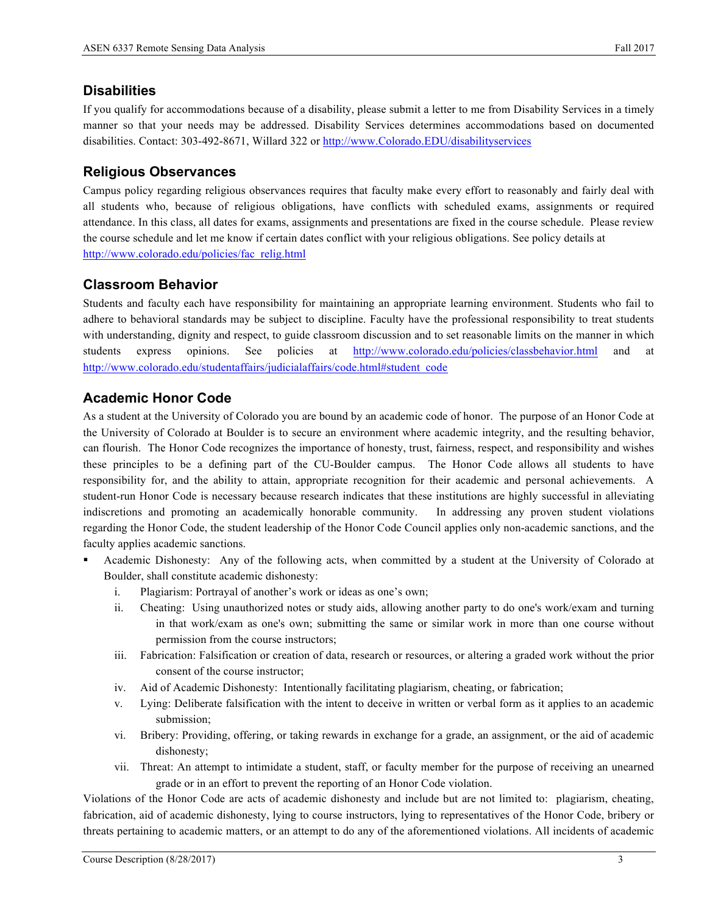#### **Disabilities**

If you qualify for accommodations because of a disability, please submit a letter to me from Disability Services in a timely manner so that your needs may be addressed. Disability Services determines accommodations based on documented disabilities. Contact: 303-492-8671, Willard 322 or http://www.Colorado.EDU/disabilityservices

#### **Religious Observances**

Campus policy regarding religious observances requires that faculty make every effort to reasonably and fairly deal with all students who, because of religious obligations, have conflicts with scheduled exams, assignments or required attendance. In this class, all dates for exams, assignments and presentations are fixed in the course schedule. Please review the course schedule and let me know if certain dates conflict with your religious obligations. See policy details at http://www.colorado.edu/policies/fac\_relig.html

#### **Classroom Behavior**

Students and faculty each have responsibility for maintaining an appropriate learning environment. Students who fail to adhere to behavioral standards may be subject to discipline. Faculty have the professional responsibility to treat students with understanding, dignity and respect, to guide classroom discussion and to set reasonable limits on the manner in which students express opinions. See policies at http://www.colorado.edu/policies/classbehavior.html and at http://www.colorado.edu/studentaffairs/judicialaffairs/code.html#student\_code

#### **Academic Honor Code**

As a student at the University of Colorado you are bound by an academic code of honor. The purpose of an Honor Code at the University of Colorado at Boulder is to secure an environment where academic integrity, and the resulting behavior, can flourish. The Honor Code recognizes the importance of honesty, trust, fairness, respect, and responsibility and wishes these principles to be a defining part of the CU-Boulder campus. The Honor Code allows all students to have responsibility for, and the ability to attain, appropriate recognition for their academic and personal achievements. A student-run Honor Code is necessary because research indicates that these institutions are highly successful in alleviating indiscretions and promoting an academically honorable community. In addressing any proven student violations regarding the Honor Code, the student leadership of the Honor Code Council applies only non-academic sanctions, and the faculty applies academic sanctions.

- § Academic Dishonesty: Any of the following acts, when committed by a student at the University of Colorado at Boulder, shall constitute academic dishonesty:
	- i. Plagiarism: Portrayal of another's work or ideas as one's own;
	- ii. Cheating: Using unauthorized notes or study aids, allowing another party to do one's work/exam and turning in that work/exam as one's own; submitting the same or similar work in more than one course without permission from the course instructors;
	- iii. Fabrication: Falsification or creation of data, research or resources, or altering a graded work without the prior consent of the course instructor;
	- iv. Aid of Academic Dishonesty: Intentionally facilitating plagiarism, cheating, or fabrication;
	- v. Lying: Deliberate falsification with the intent to deceive in written or verbal form as it applies to an academic submission;
	- vi. Bribery: Providing, offering, or taking rewards in exchange for a grade, an assignment, or the aid of academic dishonesty;
	- vii. Threat: An attempt to intimidate a student, staff, or faculty member for the purpose of receiving an unearned grade or in an effort to prevent the reporting of an Honor Code violation.

Violations of the Honor Code are acts of academic dishonesty and include but are not limited to: plagiarism, cheating, fabrication, aid of academic dishonesty, lying to course instructors, lying to representatives of the Honor Code, bribery or threats pertaining to academic matters, or an attempt to do any of the aforementioned violations. All incidents of academic